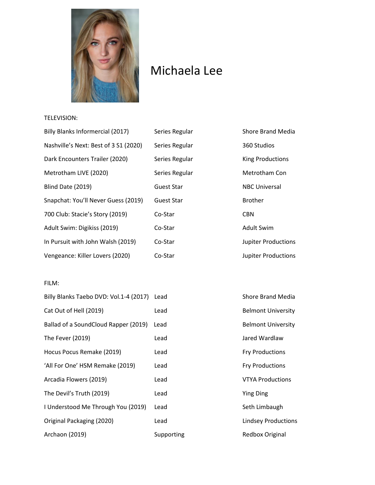

# Michaela Lee

## TELEVISION:

| Billy Blanks Informercial (2017)      | Series Regular    | <b>Shore Brand Media</b>   |
|---------------------------------------|-------------------|----------------------------|
| Nashville's Next: Best of 3 S1 (2020) | Series Regular    | 360 Studios                |
| Dark Encounters Trailer (2020)        | Series Regular    | <b>King Productions</b>    |
| Metrotham LIVE (2020)                 | Series Regular    | Metrotham Con              |
| Blind Date (2019)                     | <b>Guest Star</b> | <b>NBC Universal</b>       |
| Snapchat: You'll Never Guess (2019)   | <b>Guest Star</b> | <b>Brother</b>             |
| 700 Club: Stacie's Story (2019)       | Co-Star           | <b>CBN</b>                 |
| Adult Swim: Digikiss (2019)           | Co-Star           | <b>Adult Swim</b>          |
| In Pursuit with John Walsh (2019)     | Co-Star           | <b>Jupiter Productions</b> |
| Vengeance: Killer Lovers (2020)       | Co-Star           | <b>Jupiter Productions</b> |

## FILM:

| Billy Blanks Taebo DVD: Vol.1-4 (2017) | Lead  |
|----------------------------------------|-------|
| Cat Out of Hell (2019)                 | Lead  |
| Ballad of a SoundCloud Rapper (2019)   | Lead  |
| The Fever (2019)                       | Lead  |
| Hocus Pocus Remake (2019)              | Lead  |
| 'All For One' HSM Remake (2019)        | Lead  |
| Arcadia Flowers (2019)                 | Lead  |
| The Devil's Truth (2019)               | Lead  |
| I Understood Me Through You (2019)     | Lead  |
| Original Packaging (2020)              | Lead  |
| Archaon (2019)                         | Suppo |

Shore Brand Media Belmont University Belmont University Jared Wardlaw Fry Productions Fry Productions **VTYA Productions** Ying Ding Seth Limbaugh Lindsey Productions **Archarge (2019)** Supporting Redbox Original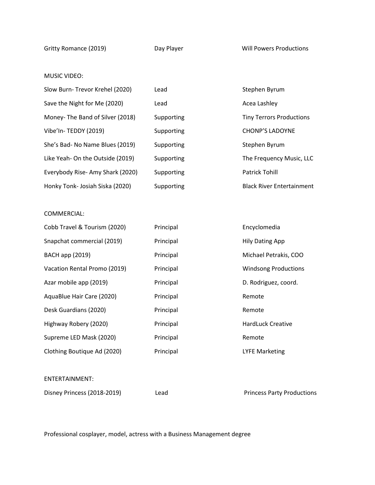Gritty Romance (2019) **Day Player** Day Player Will Powers Productions

## MUSIC VIDEO:

| Slow Burn- Trevor Krehel (2020)  | Lead       | Stephen Byrum                    |
|----------------------------------|------------|----------------------------------|
| Save the Night for Me (2020)     | Lead       | Acea Lashley                     |
| Money-The Band of Silver (2018)  | Supporting | <b>Tiny Terrors Productions</b>  |
| Vibe'In-TEDDY (2019)             | Supporting | <b>CHONP'S LADOYNE</b>           |
| She's Bad- No Name Blues (2019)  | Supporting | Stephen Byrum                    |
| Like Yeah- On the Outside (2019) | Supporting | The Frequency Music, LLC         |
| Everybody Rise- Amy Shark (2020) | Supporting | <b>Patrick Tohill</b>            |
| Honky Tonk- Josiah Siska (2020)  | Supporting | <b>Black River Entertainment</b> |

#### COMMERCIAL:

| Cobb Travel & Tourism (2020) | Principal | Encyclomedia                |
|------------------------------|-----------|-----------------------------|
| Snapchat commercial (2019)   | Principal | <b>Hily Dating App</b>      |
| <b>BACH</b> app (2019)       | Principal | Michael Petrakis, COO       |
| Vacation Rental Promo (2019) | Principal | <b>Windsong Productions</b> |
| Azar mobile app (2019)       | Principal | D. Rodriguez, coord.        |
| AquaBlue Hair Care (2020)    | Principal | Remote                      |
| Desk Guardians (2020)        | Principal | Remote                      |
| Highway Robery (2020)        | Principal | <b>HardLuck Creative</b>    |
| Supreme LED Mask (2020)      | Principal | Remote                      |
| Clothing Boutique Ad (2020)  | Principal | <b>LYFE Marketing</b>       |
|                              |           |                             |

#### ENTERTAINMENT:

Disney Princess (2018-2019) Lead Princess Party Productions

Professional cosplayer, model, actress with a Business Management degree